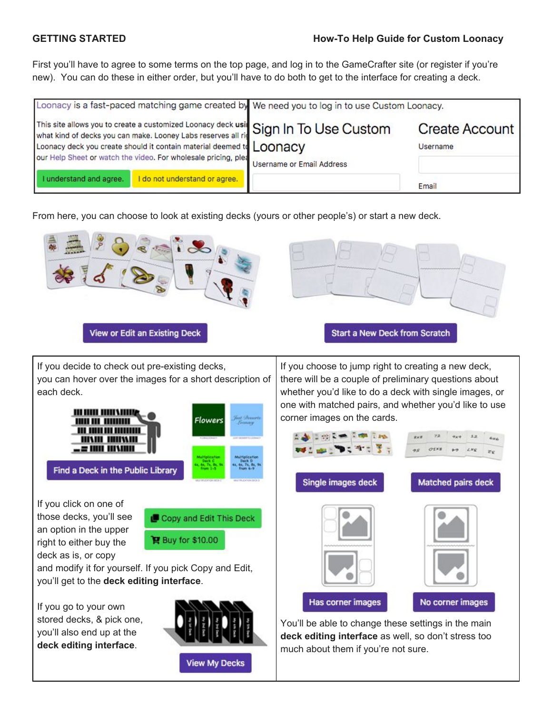## **GETTING STARTED How-To Help Guide for Custom Loonacy**

First you'll have to agree to some terms on the top page, and log in to the GameCrafter site (or register if you're new). You can do these in either order, but you'll have to do both to get to the interface for creating a deck.

|                         |                                                                                                                                        | Loonacy is a fast-paced matching game created by We need you to log in to use Custom Loonacy.                    |                                   |  |  |  |  |  |  |  |
|-------------------------|----------------------------------------------------------------------------------------------------------------------------------------|------------------------------------------------------------------------------------------------------------------|-----------------------------------|--|--|--|--|--|--|--|
|                         | Loonacy deck you create should it contain material deemed to LOONACV<br>our Help Sheet or watch the video. For wholesale pricing, plea | This site allows you to create a customized Loonacy deck usit Sign In To Use Custom<br>Username or Email Address | <b>Create Account</b><br>Username |  |  |  |  |  |  |  |
| I understand and agree. | I do not understand or agree.                                                                                                          |                                                                                                                  | Email                             |  |  |  |  |  |  |  |

From here, you can choose to look at existing decks (yours or other people's) or start a new deck.



**View My Decks** 

much about them if you're not sure.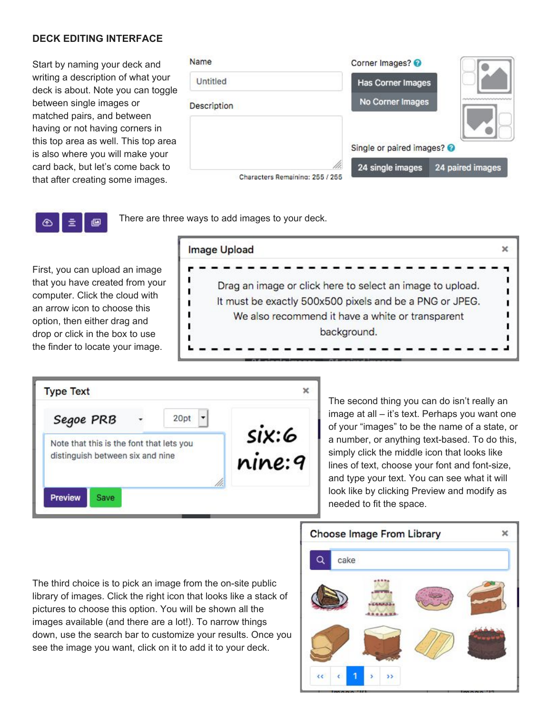## **DECK EDITING INTERFACE**

Start by naming your deck and writing a description of what your deck is about. Note you can toggle between single images or matched pairs, and between having or not having corners in this top area as well. This top area is also where you will make your card back, but let's come back to that after creating some images.

| Name                            | Corner Images?           |                  |
|---------------------------------|--------------------------|------------------|
| Untitled                        | <b>Has Corner Images</b> |                  |
| <b>Description</b>              | No Corner Images         |                  |
|                                 | Single or paired images? |                  |
| Characters Remaining: 255 / 255 | 24 single images         | 24 paired images |

There are three ways to add images to your deck.

First, you can upload an image that you have created from your computer. Click the cloud with an arrow icon to choose this option, then either drag and drop or click in the box to use the finder to locate your image.

G

亖

⊕

| Image Upload                                              |  |
|-----------------------------------------------------------|--|
| Drag an image or click here to select an image to upload. |  |
| It must be exactly 500x500 pixels and be a PNG or JPEG.   |  |
| We also recommend it have a white or transparent          |  |
| background.                                               |  |
|                                                           |  |



The second thing you can do isn't really an image at all – it's text. Perhaps you want one of your "images" to be the name of a state, or a number, or anything text-based. To do this, simply click the middle icon that looks like lines of text, choose your font and font-size, and type your text. You can see what it will look like by clicking Preview and modify as needed to fit the space.

The third choice is to pick an image from the on-site public library of images. Click the right icon that looks like a stack of pictures to choose this option. You will be shown all the images available (and there are a lot!). To narrow things down, use the search bar to customize your results. Once you see the image you want, click on it to add it to your deck.

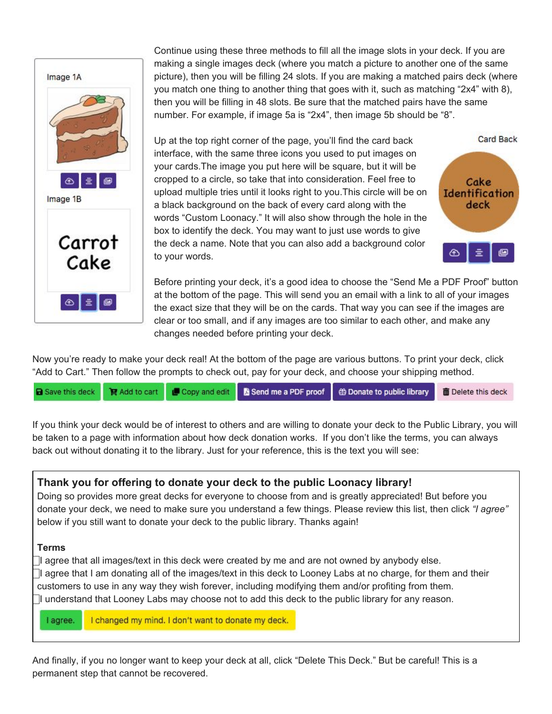

Continue using these three methods to fill all the image slots in your deck. If you are making a single images deck (where you match a picture to another one of the same picture), then you will be filling 24 slots. If you are making a matched pairs deck (where you match one thing to another thing that goes with it, such as matching "2x4" with 8), then you will be filling in 48 slots. Be sure that the matched pairs have the same number. For example, if image 5a is "2x4", then image 5b should be "8".

Up at the top right corner of the page, you'll find the card back interface, with the same three icons you used to put images on your cards.The image you put here will be square, but it will be cropped to a circle, so take that into consideration. Feel free to upload multiple tries until it looks right to you.This circle will be on a black background on the back of every card along with the words "Custom Loonacy." It will also show through the hole in the box to identify the deck. You may want to just use words to give the deck a name. Note that you can also add a background color to your words.



**Card Back** 

Before printing your deck, it's a good idea to choose the "Send Me a PDF Proof" button at the bottom of the page. This will send you an email with a link to all of your images the exact size that they will be on the cards. That way you can see if the images are clear or too small, and if any images are too similar to each other, and make any changes needed before printing your deck.

Now you're ready to make your deck real! At the bottom of the page are various buttons. To print your deck, click "Add to Cart." Then follow the prompts to check out, pay for your deck, and choose your shipping method.

If you think your deck would be of interest to others and are willing to donate your deck to the Public Library, you will be taken to a page with information about how deck donation works. If you don't like the terms, you can always back out without donating it to the library. Just for your reference, this is the text you will see:

# **Thank you for offering to donate your deck to the public Loonacy library!**

Doing so provides more great decks for everyone to choose from and is greatly appreciated! But before you donate your deck, we need to make sure you understand a few things. Please review this list, then click *"I agree"* below if you still want to donate your deck to the public library. Thanks again!

## **Terms**

⃞ I agree that all images/text in this deck were created by me and are not owned by anybody else. ⃞ I agree that I am donating all of the images/text in this deck to Looney Labs at no charge, for them and their customers to use in any way they wish forever, including modifying them and/or profiting from them. ⃞ I understand that Looney Labs may choose not to add this deck to the public library for any reason.

I changed my mind. I don't want to donate my deck. I agree.

And finally, if you no longer want to keep your deck at all, click "Delete This Deck." But be careful! This is a permanent step that cannot be recovered.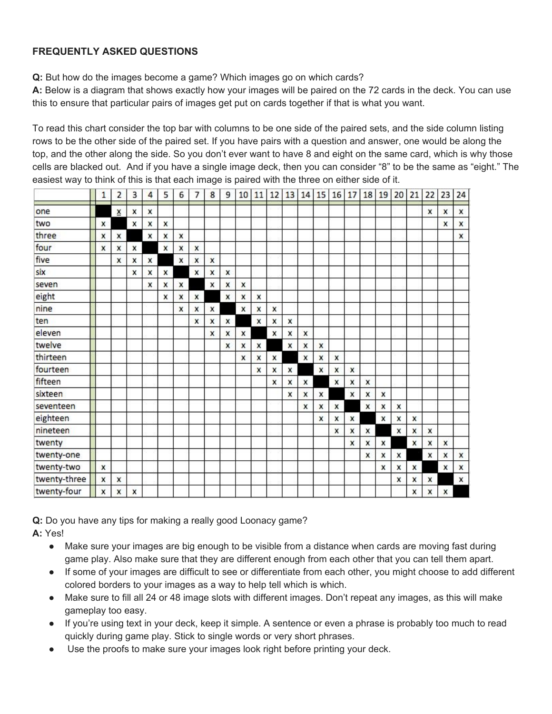## **FREQUENTLY ASKED QUESTIONS**

**Q:** But how do the images become a game? Which images go on which cards?

**A:** Below is a diagram that shows exactly how your images will be paired on the 72 cards in the deck. You can use this to ensure that particular pairs of images get put on cards together if that is what you want.

To read this chart consider the top bar with columns to be one side of the paired sets, and the side column listing rows to be the other side of the paired set. If you have pairs with a question and answer, one would be along the top, and the other along the side. So you don't ever want to have 8 and eight on the same card, which is why those cells are blacked out. And if you have a single image deck, then you can consider "8" to be the same as "eight." The easiest way to think of this is that each image is paired with the three on either side of it.

|              | 1 | 2               | 3 | 4 | 5 | 6 | 7 | 8 | 9 | 10 | 11 | 12 | 13 | 14 | 15 | 16 | 17 |   | 18 19 | 20 | 21 | 22 | 23 | 24 |
|--------------|---|-----------------|---|---|---|---|---|---|---|----|----|----|----|----|----|----|----|---|-------|----|----|----|----|----|
| one          |   | $\underline{x}$ | x | x |   |   |   |   |   |    |    |    |    |    |    |    |    |   |       |    |    | x  | x  | X  |
| two          | x |                 | X | x | x |   |   |   |   |    |    |    |    |    |    |    |    |   |       |    |    |    | X  | X  |
| three        | x | X               |   | x | X | X |   |   |   |    |    |    |    |    |    |    |    |   |       |    |    |    |    | x  |
| four         | x | x               | x |   | X | X | x |   |   |    |    |    |    |    |    |    |    |   |       |    |    |    |    |    |
| five         |   | x               | x | x |   | X | x | X |   |    |    |    |    |    |    |    |    |   |       |    |    |    |    |    |
| six          |   |                 | x | X | x |   | x | X | x |    |    |    |    |    |    |    |    |   |       |    |    |    |    |    |
| seven        |   |                 |   | x | x | x |   | x | x | x  |    |    |    |    |    |    |    |   |       |    |    |    |    |    |
| eight        |   |                 |   |   | x | X | x |   | x | x  | X  |    |    |    |    |    |    |   |       |    |    |    |    |    |
| nine         |   |                 |   |   |   | X | x | X |   | x  | X  | x  |    |    |    |    |    |   |       |    |    |    |    |    |
| ten          |   |                 |   |   |   |   | x | X | x |    | x  | X  | x  |    |    |    |    |   |       |    |    |    |    |    |
| eleven       |   |                 |   |   |   |   |   | X | x | x  |    | X  | x  | X  |    |    |    |   |       |    |    |    |    |    |
| twelve       |   |                 |   |   |   |   |   |   | x | x  | X  |    | x  | x  | x  |    |    |   |       |    |    |    |    |    |
| thirteen     |   |                 |   |   |   |   |   |   |   | X  | X  | x  |    | x  | x  | x  |    |   |       |    |    |    |    |    |
| fourteen     |   |                 |   |   |   |   |   |   |   |    | X  | x  | x  |    | X  | x  | x  |   |       |    |    |    |    |    |
| fifteen      |   |                 |   |   |   |   |   |   |   |    |    | x  | x  | X  |    | x  | x  | x |       |    |    |    |    |    |
| sixteen      |   |                 |   |   |   |   |   |   |   |    |    |    | x  | X  | x  |    | x  | x | x     |    |    |    |    |    |
| seventeen    |   |                 |   |   |   |   |   |   |   |    |    |    |    | x  | x  | x  |    | X | x     | x  |    |    |    |    |
| eighteen     |   |                 |   |   |   |   |   |   |   |    |    |    |    |    | X  | x  | x  |   | x     | X  | x  |    |    |    |
| nineteen     |   |                 |   |   |   |   |   |   |   |    |    |    |    |    |    | x  | x  | x |       | X  | x  | X  |    |    |
| twenty       |   |                 |   |   |   |   |   |   |   |    |    |    |    |    |    |    | x  | X | x     |    | x  | X  | X  |    |
| twenty-one   |   |                 |   |   |   |   |   |   |   |    |    |    |    |    |    |    |    | X | x     | X  |    | x  | x  | x  |
| twenty-two   | x |                 |   |   |   |   |   |   |   |    |    |    |    |    |    |    |    |   | x     | X  | x  |    | x  | X  |
| twenty-three | x | x               |   |   |   |   |   |   |   |    |    |    |    |    |    |    |    |   |       | x  | x  | x  |    | x  |
| twenty-four  | X | X               | x |   |   |   |   |   |   |    |    |    |    |    |    |    |    |   |       |    | x  | x  | X  |    |

**Q:** Do you have any tips for making a really good Loonacy game? **A:** Yes!

- Make sure your images are big enough to be visible from a distance when cards are moving fast during game play. Also make sure that they are different enough from each other that you can tell them apart.
- If some of your images are difficult to see or differentiate from each other, you might choose to add different colored borders to your images as a way to help tell which is which.
- Make sure to fill all 24 or 48 image slots with different images. Don't repeat any images, as this will make gameplay too easy.
- If you're using text in your deck, keep it simple. A sentence or even a phrase is probably too much to read quickly during game play. Stick to single words or very short phrases.
- Use the proofs to make sure your images look right before printing your deck.